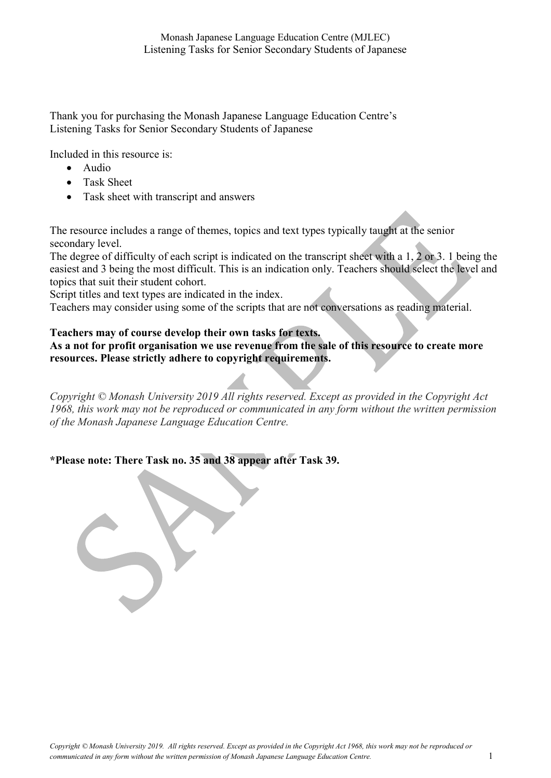Thank you for purchasing the Monash Japanese Language Education Centre's Listening Tasks for Senior Secondary Students of Japanese

Included in this resource is:

- Audio
- Task Sheet
- Task sheet with transcript and answers

The resource includes a range of themes, topics and text types typically taught at the senior secondary level.

The degree of difficulty of each script is indicated on the transcript sheet with a 1, 2 or 3. 1 being the easiest and 3 being the most difficult. This is an indication only. Teachers should select the level and topics that suit their student cohort.

Script titles and text types are indicated in the index.

Teachers may consider using some of the scripts that are not conversations as reading material.

#### Teachers may of course develop their own tasks for texts.

As a not for profit organisation we use revenue from the sale of this resource to create more resources. Please strictly adhere to copyright requirements.

Copyright © Monash University 2019 All rights reserved. Except as provided in the Copyright Act 1968, this work may not be reproduced or communicated in any form without the written permission of the Monash Japanese Language Education Centre.

### \*Please note: There Task no. 35 and 38 appear after Task 39.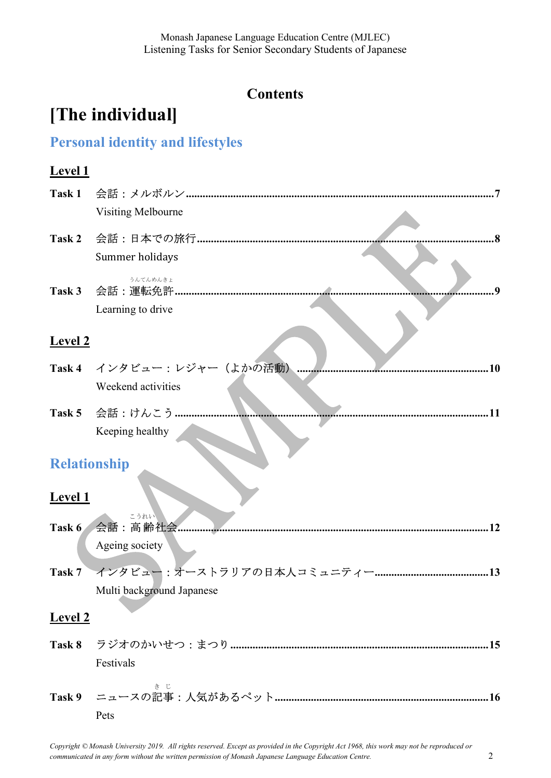## **Contents**

# [The individual]

# Personal identity and lifestyles

### Level 1

|                | Visiting Melbourne          |            |
|----------------|-----------------------------|------------|
| Task 2         |                             | $\cdot$ .8 |
|                | Summer holidays             |            |
|                | うんてんめんきょ                    |            |
|                | Learning to drive           |            |
| <b>Level 2</b> |                             |            |
|                | Task 4 インタビュー: レジャー (よかの活動) | 10         |
|                | Weekend activities          |            |
|                | Task 5 会話:けんこう              |            |
|                | Keeping healthy             |            |
|                | <b>Relationship</b>         |            |
| <b>Level 1</b> |                             |            |
|                | こうれい<br>Task 6 会話: 高齢社会.    |            |
|                | Ageing society              |            |
| Task 7         |                             |            |
|                | Multi background Japanese   |            |
| Level 2        |                             |            |
| Task 8         |                             |            |
|                | Festivals                   |            |
|                |                             |            |
|                | Pets                        |            |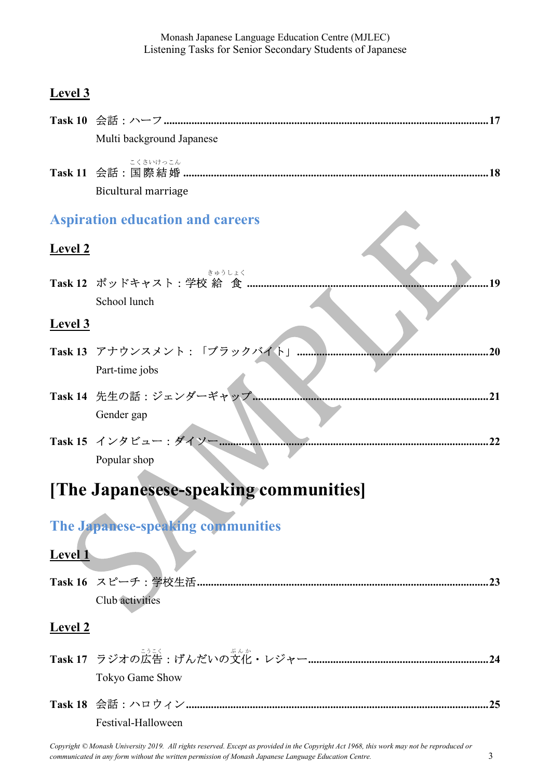# Level 3

|                    | Multi background Japanese                          |
|--------------------|----------------------------------------------------|
|                    | こくさいけっこん<br>Bicultural marriage                    |
|                    | <b>Aspiration education and careers</b>            |
| <b>Level 2</b>     |                                                    |
|                    | きゅうしょく<br>19<br>School lunch                       |
| <b>Level 3</b>     |                                                    |
|                    | Task 13 アナウンスメント:「ブラックバイト」<br>20<br>Part-time jobs |
|                    | Task 14 先生の話: ジェンダーギャップ.<br>Gender gap             |
|                    | Task 15 インタビュー:ダイソー<br>Popular shop                |
|                    | [The Japanesese-speaking communities]              |
|                    | The Japanese-speaking communities                  |
| Level <sub>1</sub> |                                                    |
|                    | Club activities                                    |
| <b>Level 2</b>     |                                                    |
|                    | Tokyo Game Show                                    |
|                    | Festival-Halloween                                 |

Copyright © Monash University 2019. All rights reserved. Except as provided in the Copyright Act 1968, this work may not be reproduced or communicated in any form without the written permission of Monash Japanese Language Education Centre. 3 3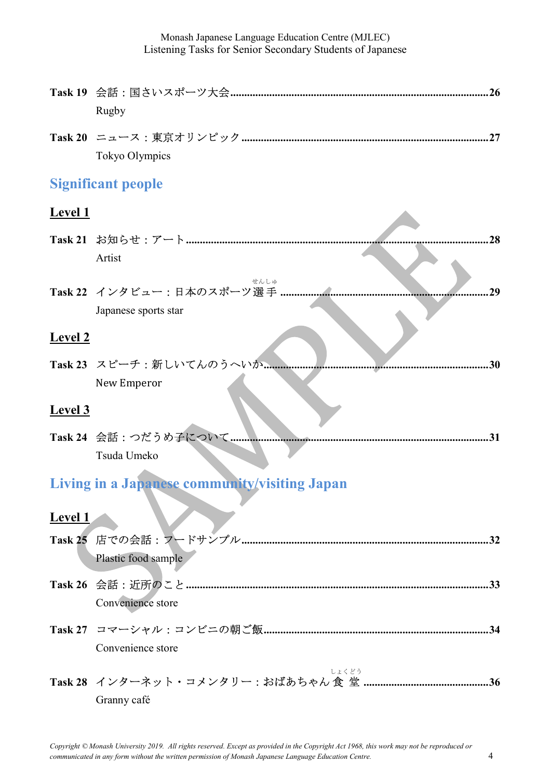|                | Rugby                                         |
|----------------|-----------------------------------------------|
|                | Tokyo Olympics                                |
|                | <b>Significant people</b>                     |
| <u>Level 1</u> |                                               |
|                | 28                                            |
|                | Artist<br>せんしゅ                                |
|                | 29<br>Japanese sports star                    |
| <b>Level 2</b> |                                               |
|                | Task 23 スピーチ:新しいてんのうへいか<br>30<br>New Emperor  |
| <b>Level 3</b> |                                               |
|                | Task 24 会話: つだうめ子について<br>Tsuda Umeko          |
|                | Living in a Japanese community/visiting Japan |
| <b>Level 1</b> |                                               |
|                | Plastic food sample                           |
|                | Convenience store                             |
|                | Convenience store                             |
|                | しょくどう<br>Granny café                          |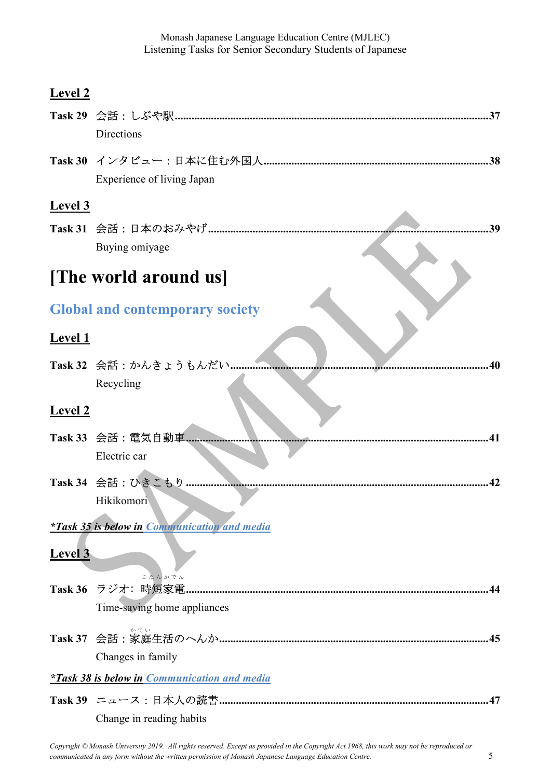| V)<br>H١ |
|----------|
|----------|

|                | Directions                                          |
|----------------|-----------------------------------------------------|
|                |                                                     |
|                | <b>Experience of living Japan</b>                   |
| <b>Level 3</b> |                                                     |
|                | 39                                                  |
|                | Buying omiyage                                      |
|                |                                                     |
|                | <b>The world around us</b>                          |
|                | <b>Global and contemporary society</b>              |
|                |                                                     |
| <b>Level 1</b> |                                                     |
|                | Task 32 会話: かんきょうもんだい<br>40                         |
|                | Recycling                                           |
| <b>Level 2</b> |                                                     |
|                | Task 33 会話: 電気自動車                                   |
|                | Electric car                                        |
|                |                                                     |
|                | Task 34 会話 : ひきこもり<br>42                            |
|                | Hikikomori                                          |
|                | <i>*Task 35 is below in Communication and media</i> |
| <b>Level 3</b> |                                                     |
|                | じたんかでん                                              |
|                | Task 36 ラジオ: 時短家電                                   |
|                | Time-saving home appliances                         |
|                |                                                     |
|                | Changes in family                                   |
|                | <i>*Task 38 is below in Communication and media</i> |
|                |                                                     |
|                | Change in reading habits                            |